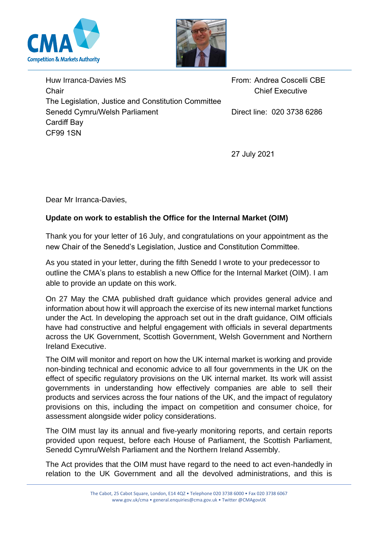



Huw Irranca-Davies MS Chair The Legislation, Justice and Constitution Committee Senedd Cymru/Welsh Parliament Cardiff Bay CF99 1SN From: Andrea Coscelli CBE Chief Executive Direct line: 020 3738 6286

27 July 2021

Dear Mr Irranca-Davies,

## **Update on work to establish the Office for the Internal Market (OIM)**

Thank you for your letter of 16 July, and congratulations on your appointment as the new Chair of the Senedd's Legislation, Justice and Constitution Committee.

As you stated in your letter, during the fifth Senedd I wrote to your predecessor to outline the CMA's plans to establish a new Office for the Internal Market (OIM). I am able to provide an update on this work.

On 27 May the CMA published draft guidance which provides general advice and information about how it will approach the exercise of its new internal market functions under the Act. In developing the approach set out in the draft guidance, OIM officials have had constructive and helpful engagement with officials in several departments across the UK Government, Scottish Government, Welsh Government and Northern Ireland Executive.

The OIM will monitor and report on how the UK internal market is working and provide non-binding technical and economic advice to all four governments in the UK on the effect of specific regulatory provisions on the UK internal market. Its work will assist governments in understanding how effectively companies are able to sell their products and services across the four nations of the UK, and the impact of regulatory provisions on this, including the impact on competition and consumer choice, for assessment alongside wider policy considerations.

The OIM must lay its annual and five-yearly monitoring reports, and certain reports provided upon request, before each House of Parliament, the Scottish Parliament, Senedd Cymru/Welsh Parliament and the Northern Ireland Assembly.

The Act provides that the OIM must have regard to the need to act even-handedly in relation to the UK Government and all the devolved administrations, and this is